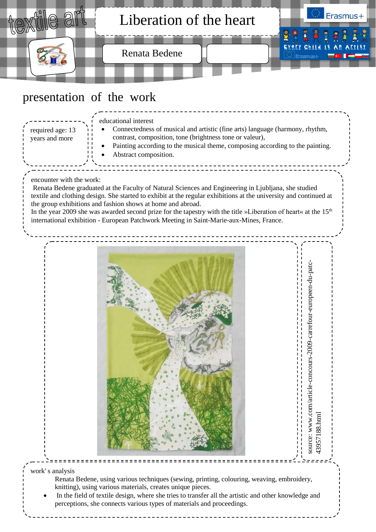

work' s analysis

Renata Bedene, using various techniques (sewing, printing, colouring, weaving, embroidery, knitting), using various materials, creates unique pieces.

 $=$   $=$   $=$   $=$   $=$   $=$ 

3957188.htm

 In the field of textile design, where she tries to transfer all the artistic and other knowledge and perceptions, she connects various types of materials and proceedings.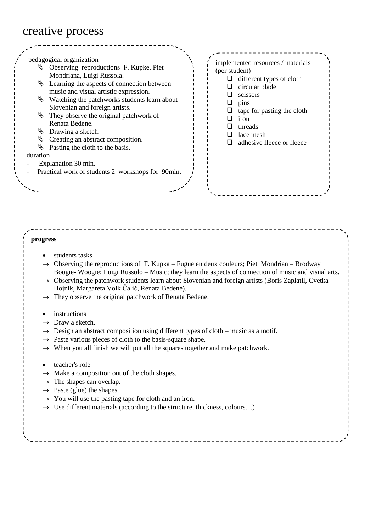## creative process

## **progress**

- students tasks
- $\rightarrow$  Observing the reproductions of F. Kupka Fugue en deux couleurs; Piet Mondrian Brodway Boogie- Woogie; Luigi Russolo – Music; they learn the aspects of connection of music and visual arts.
- $\rightarrow$  Observing the patchwork students learn about Slovenian and foreign artists (Boris Zaplatil, Cvetka Hojnik, Margareta Volk Čalič, Renata Bedene).
- $\rightarrow$  They observe the original patchwork of Renata Bedene.
- instructions
- $\rightarrow$  Draw a sketch.
- $\rightarrow$  Design an abstract composition using different types of cloth music as a motif.
- $\rightarrow$  Paste various pieces of cloth to the basis-square shape.
- $\rightarrow$  When you all finish we will put all the squares together and make patchwork.
- teacher's role
- $\rightarrow$  Make a composition out of the cloth shapes.
- $\rightarrow$  The shapes can overlap.
- $\rightarrow$  Paste (glue) the shapes.
- $\rightarrow$  You will use the pasting tape for cloth and an iron.
- $\rightarrow$  Use different materials (according to the structure, thickness, colours...)